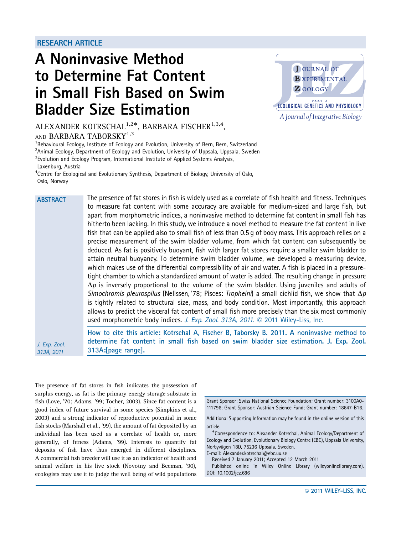# A Noninvasive Method to Determine Fat Content in Small Fish Based on Swim Bladder Size Estimation



ALEXANDER KOTRSCHAL<sup>1,2\*</sup>, BARBARA FISCHER<sup>1,3,4</sup>,

# AND BARBARA TABORSKY<sup>1,3</sup>

<sup>1</sup>Behavioural Ecology, Institute of Ecology and Evolution, University of Bern, Bern, Switzerland

<sup>2</sup> Animal Ecology, Department of Ecology and Evolution, University of Uppsala, Uppsala, Sweden

<sup>3</sup> Evolution and Ecology Program, International Institute of Applied Systems Analysis,

<sup>4</sup>Centre for Ecological and Evolutionary Synthesis, Department of Biology, University of Oslo, Oslo, Norway

# The presence of fat stores in fish is widely used as a correlate of fish health and fitness. Techniques to measure fat content with some accuracy are available for medium-sized and large fish, but apart from morphometric indices, a noninvasive method to determine fat content in small fish has hitherto been lacking. In this study, we introduce a novel method to measure the fat content in live fish that can be applied also to small fish of less than 0.5 g of body mass. This approach relies on a precise measurement of the swim bladder volume, from which fat content can subsequently be deduced. As fat is positively buoyant, fish with larger fat stores require a smaller swim bladder to attain neutral buoyancy. To determine swim bladder volume, we developed a measuring device, which makes use of the differential compressibility of air and water. A fish is placed in a pressuretight chamber to which a standardized amount of water is added. The resulting change in pressure  $\Delta p$  is inversely proportional to the volume of the swim bladder. Using juveniles and adults of Simochromis pleurospilus (Nelissen, '78; Pisces: Tropheini) a small cichlid fish, we show that  $\Delta p$ is tightly related to structural size, mass, and body condition. Most importantly, this approach allows to predict the visceral fat content of small fish more precisely than the six most commonly used morphometric body indices. *J. Exp. Zool. 313A, 2011.*  $\odot$  2011 Wiley-Liss, Inc. **ABSTRACT**

J. Exp. Zool. 313A, 2011

How to cite this article: Kotrschal A, Fischer B, Taborsky B. 2011. A noninvasive method to determine fat content in small fish based on swim bladder size estimation. J. Exp. Zool. 313A:[page range].

The presence of fat stores in fish indicates the possession of surplus energy, as fat is the primary energy storage substrate in fish (Love, '70; Adams, '99; Tocher, 2003). Since fat content is a good index of future survival in some species (Simpkins et al., 2003) and a strong indicator of reproductive potential in some fish stocks (Marshall et al., '99), the amount of fat deposited by an individual has been used as a correlate of health or, more generally, of fitness (Adams, '99). Interests to quantify fat deposits of fish have thus emerged in different disciplines. A commercial fish breeder will use it as an indicator of health and animal welfare in his live stock (Novotny and Beeman, '90), ecologists may use it to judge the well being of wild populations

Grant Sponsor: Swiss National Science Foundation; Grant number: 3100A0- 111796; Grant Sponsor: Austrian Science Fund; Grant number: 18647-B16.

Additional Supporting Information may be found in the online version of this

article.<br>\*Correspondence to: Alexander Kotrschal, Animal Ecology/Department of Ecology and Evolution, Evolutionary Biology Centre (EBC), Uppsala University, Norbyvägen 18D, 75236 Uppsala, Sweden. E-mail: Alexander.kotrschal@ebc.uu.se

Received 7 January 2011; Accepted 12 March 2011

Published online in Wiley Online Library (wileyonlinelibrary.com). DOI: 10.1002/jez.686

Laxenburg, Austria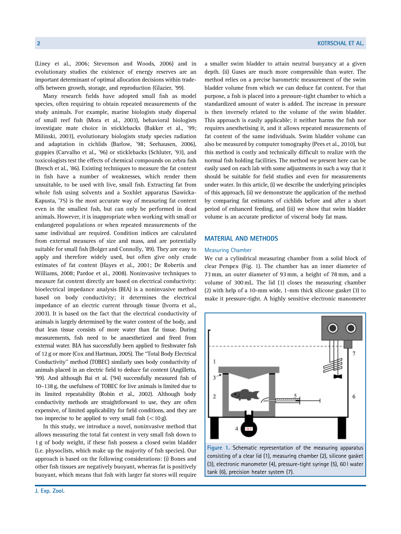(Liney et al., 2006; Stevenson and Woods, 2006) and in evolutionary studies the existence of energy reserves are an important determinant of optimal allocation decisions within tradeoffs between growth, storage, and reproduction (Glazier, '99).

Many research fields have adopted small fish as model species, often requiring to obtain repeated measurements of the study animals. For example, marine biologists study dispersal of small reef fish (Mora et al., 2003), behavioral biologists investigate mate choice in sticklebacks (Bakker et al., '99; Milinski, 2003), evolutionary biologists study species radiation and adaptation in cichlids (Barlow, '98; Seehausen, 2006), guppies (Carvalho et al., '96) or sticklebacks (Schluter, '93), and toxicologists test the effects of chemical compounds on zebra fish (Bresch et al., '86). Existing techniques to measure the fat content in fish have a number of weaknesses, which render them unsuitable, to be used with live, small fish. Extracting fat from whole fish using solvents and a Soxhlet apparatus (Sawicka-Kapusta, '75) is the most accurate way of measuring fat content even in the smallest fish, but can only be performed in dead animals. However, it is inappropriate when working with small or endangered populations or when repeated measurements of the same individual are required. Condition indices are calculated from external measures of size and mass, and are potentially suitable for small fish (Bolger and Connolly, '89). They are easy to apply and therefore widely used, but often give only crude estimates of fat content (Hayes et al., 2001; De Robertis and Williams, 2008; Pardoe et al., 2008). Noninvasive techniques to measure fat content directly are based on electrical conductivity: bioelectrical impedance analysis (BIA) is a noninvasive method based on body conductivity; it determines the electrical impedance of an electric current through tissue (Ivorra et al., 2003). It is based on the fact that the electrical conductivity of animals is largely determined by the water content of the body, and that lean tissue consists of more water than fat tissue. During measurements, fish need to be anaesthetized and freed from external water. BIA has successfully been applied to freshwater fish of 12 g or more (Cox and Hartman, 2005). The ''Total Body Electrical Conductivity'' method (TOBEC) similarly uses body conductivity of animals placed in an electric field to deduce fat content (Angilletta, '99). And although Bai et al. ('94) successfully measured fish of 10–138 g, the usefulness of TOBEC for live animals is limited due to its limited repeatability (Robin et al., 2002). Although body conductivity methods are straightforward to use, they are often expensive, of limited applicability for field conditions, and they are too imprecise to be applied to very small fish  $(<10 \text{ g})$ .

In this study, we introduce a novel, noninvasive method that allows measuring the total fat content in very small fish down to 1 g of body weight, if these fish possess a closed swim bladder (i.e. physoclists, which make up the majority of fish species). Our approach is based on the following considerations: (i) Bones and other fish tissues are negatively buoyant, whereas fat is positively buoyant, which means that fish with larger fat stores will require

a smaller swim bladder to attain neutral buoyancy at a given depth. (ii) Gases are much more compressible than water. The method relies on a precise barometric measurement of the swim bladder volume from which we can deduce fat content. For that purpose, a fish is placed into a pressure-tight chamber to which a standardized amount of water is added. The increase in pressure is then inversely related to the volume of the swim bladder. This approach is easily applicable; it neither harms the fish nor requires anesthetising it, and it allows repeated measurements of fat content of the same individuals. Swim bladder volume can also be measured by computer tomography (Pees et al., 2010), but this method is costly and technically difficult to realize with the normal fish holding facilities. The method we present here can be easily used on each lab with some adjustments in such a way that it should be suitable for field studies and even for measurements under water. In this article, (i) we describe the underlying principles of this approach, (ii) we demonstrate the application of the method by comparing fat estimates of cichlids before and after a short period of enhanced feeding, and (iii) we show that swim bladder volume is an accurate predictor of visceral body fat mass.

# MATERIAL AND METHODS

#### Measuring Chamber

We cut a cylindrical measuring chamber from a solid block of clear Perspex (Fig. 1). The chamber has an inner diameter of 73 mm, an outer diameter of 93 mm, a height of 78 mm, and a volume of 300 mL. The lid (1) closes the measuring chamber (2) with help of a 10-mm wide, 1-mm thick silicone gasket (3) to make it pressure-tight. A highly sensitive electronic manometer



Figure 1. Schematic representation of the measuring apparatus consisting of a clear lid (1), measuring chamber (2), silicone gasket (3), electronic manometer (4), pressure-tight syringe (5), 60 l water tank (6), precision heater system (7).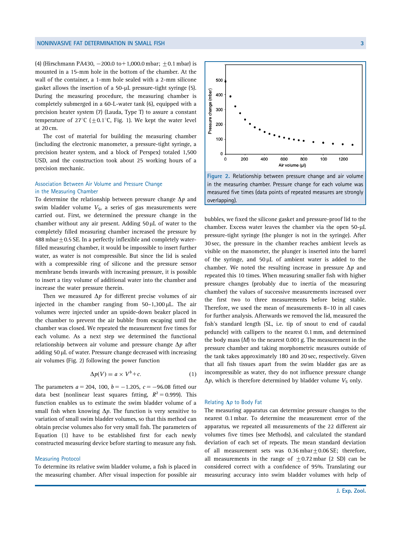(4) (Hirschmann PA430,  $-200.0$  to  $+1,000.0$  mbar;  $+0.1$  mbar) is mounted in a 15-mm hole in the bottom of the chamber. At the wall of the container, a 1-mm hole sealed with a 2-mm silicone gasket allows the insertion of a 50-µL pressure-tight syringe (5). During the measuring procedure, the measuring chamber is completely submerged in a 60-L-water tank (6), equipped with a precision heater system (7) (Lauda, Type T) to assure a constant temperature of 27<sup>°</sup>C ( $\pm$ 0.1<sup>°</sup>C, Fig. 1). We kept the water level at 20 cm.

The cost of material for building the measuring chamber (including the electronic manometer, a pressure-tight syringe, a precision heater system, and a block of Perspex) totaled 1,500 USD, and the construction took about 25 working hours of a precision mechanic.

# Association Between Air Volume and Pressure Change in the Measuring Chamber

To determine the relationship between pressure change  $\Delta p$  and swim bladder volume  $V<sub>S</sub>$ , a series of gas measurements were carried out. First, we determined the pressure change in the chamber without any air present. Adding  $50 \mu L$  of water to the completely filled measuring chamber increased the pressure by 488 mbar $\pm$  0.5 SE. In a perfectly inflexible and completely waterfilled measuring chamber, it would be impossible to insert further water, as water is not compressible. But since the lid is sealed with a compressible ring of silicone and the pressure sensor membrane bends inwards with increasing pressure, it is possible to insert a tiny volume of additional water into the chamber and increase the water pressure therein.

Then we measured  $\Delta p$  for different precise volumes of air injected in the chamber ranging from  $50-1,300 \mu L$ . The air volumes were injected under an upside-down beaker placed in the chamber to prevent the air bubble from escaping until the chamber was closed. We repeated the measurement five times for each volume. As a next step we determined the functional relationship between air volume and pressure change  $\Delta p$  after adding 50 µL of water. Pressure change decreased with increasing air volumes (Fig. 2) following the power function

$$
\Delta p(V) = a \times V^b + c. \tag{1}
$$

The parameters  $a = 204$ , 100,  $b = -1.205$ ,  $c = -96.08$  fitted our data best (nonlinear least squares fitting,  $R^2 = 0.999$ ). This function enables us to estimate the swim bladder volume of a small fish when knowing  $\Delta p$ . The function is very sensitive to variation of small swim bladder volumes, so that this method can obtain precise volumes also for very small fish. The parameters of Equation (1) have to be established first for each newly constructed measuring device before starting to measure any fish.

#### Measuring Protocol

To determine its relative swim bladder volume, a fish is placed in the measuring chamber. After visual inspection for possible air



bubbles, we fixed the silicone gasket and pressure-proof lid to the chamber. Excess water leaves the chamber via the open 50-µL pressure-tight syringe (the plunger is not in the syringe). After 30 sec, the pressure in the chamber reaches ambient levels as visible on the manometer, the plunger is inserted into the barrel of the syringe, and  $50 \mu L$  of ambient water is added to the chamber. We noted the resulting increase in pressure  $\Delta p$  and repeated this 10 times. When measuring smaller fish with higher pressure changes (probably due to inertia of the measuring chamber) the values of successive measurements increased over the first two to three measurements before being stable. Therefore, we used the mean of measurements 8–10 in all cases for further analysis. Afterwards we removed the lid, measured the fish's standard length (SL, i.e. tip of snout to end of caudal peduncle) with callipers to the nearest 0.1 mm, and determined the body mass  $(M)$  to the nearest 0.001 g. The measurement in the pressure chamber and taking morphometric measures outside of the tank takes approximately 180 and 20 sec, respectively. Given that all fish tissues apart from the swim bladder gas are as incompressible as water, they do not influence pressure change  $\Delta p$ , which is therefore determined by bladder volume  $V<sub>S</sub>$  only.

#### Relating  $\Delta p$  to Body Fat

The measuring apparatus can determine pressure changes to the nearest 0.1 mbar. To determine the measurement error of the apparatus, we repeated all measurements of the 22 different air volumes five times (see Methods), and calculated the standard deviation of each set of repeats. The mean standard deviation of all measurement sets was  $0.36$  mbar  $\pm 0.06$  SE; therefore, all measurements in the range of  $\pm$ 0.72 mbar (2 SD) can be considered correct with a confidence of 95%. Translating our measuring accuracy into swim bladder volumes with help of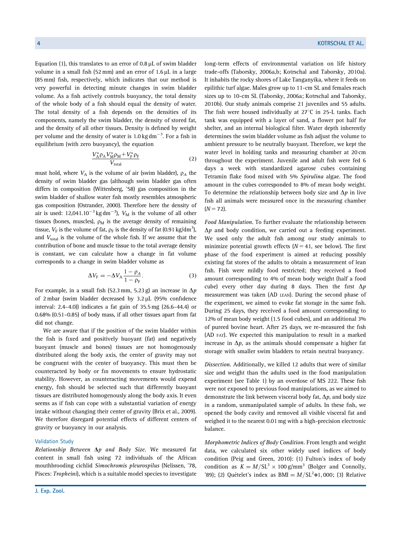Equation (1), this translates to an error of  $0.8 \mu$ L of swim bladder volume in a small fish  $(52 \text{ mm})$  and an error of  $1.6 \mu$ L in a large (85 mm) fish, respectively, which indicates that our method is very powerful in detecting minute changes in swim bladder volume. As a fish actively controls buoyancy, the total density of the whole body of a fish should equal the density of water. The total density of a fish depends on the densities of its components, namely the swim bladder, the density of stored fat, and the density of all other tissues. Density is defined by weight per volume and the density of water is 1.0 kg  $\text{dm}^{-3}$ . For a fish in equilibrium (with zero buoyancy), the equation

$$
\frac{V_{\rm A}^* \rho_{\rm A} V_{\rm M}^* \rho_{\rm M} + V_{\rm F}^* \rho_{\rm F}}{V_{\rm total}}
$$
 (2)

must hold, where  $V_A$  is the volume of air (swim bladder),  $\rho_A$  the density of swim bladder gas (although swim bladder gas often differs in composition (Wittenberg, '58) gas composition in the swim bladder of shallow water fish mostly resembles atmospheric gas composition (Ostrander, 2000). Therefore here the density of air is used: 12,041.10<sup>-3</sup> kg dm<sup>-3</sup>),  $V_M$  is the volume of all other tissues (bones, muscles),  $\rho_M$  is the average density of remaining tissue,  $V_{\rm F}$  is the volume of fat,  $\rho_{\rm F}$  is the density of fat (0.91 kg/dm<sup>3</sup>), and  $V_{total}$  is the volume of the whole fish. If we assume that the contribution of bone and muscle tissue to the total average density is constant, we can calculate how a change in fat volume corresponds to a change in swim bladder volume as

$$
\Delta V_{\rm F} = -\Delta V_{\rm A} \frac{1 - \rho_{\rm A}}{1 - \rho_{\rm F}}.\tag{3}
$$

For example, in a small fish (52.3 mm, 5.23 g) an increase in  $\Delta p$ of 2 mbar (swim bladder decreased by 3.2 µL (95% confidence interval: 2.4–4.0)) indicates a fat gain of 35.5 mg (26.6–44.4) or 0.68% (0.51–0.85) of body mass, if all other tissues apart from fat did not change.

We are aware that if the position of the swim bladder within the fish is fixed and positively buoyant (fat) and negatively buoyant (muscle and bones) tissues are not homogenously distributed along the body axis, the center of gravity may not be congruent with the center of buoyancy. This must then be counteracted by body or fin movements to ensure hydrostatic stability. However, as counteracting movements would expend energy, fish should be selected such that differently buoyant tissues are distributed homogenously along the body axis. It even seems as if fish can cope with a substantial variation of energy intake without changing their center of gravity (Brix et al., 2009). We therefore disregard potential effects of different centers of gravity or buoyancy in our analysis.

#### Validation Study

Relationship Between  $\Delta p$  and Body Size. We measured fat content in small fish using 72 individuals of the African mouthbrooding cichlid Simochromis pleurospilus (Nelissen, '78, Pisces: *Tropheini*), which is a suitable model species to investigate

long-term effects of environmental variation on life history trade-offs (Taborsky, 2006a,b; Kotrschal and Taborsky, 2010a). It inhabits the rocky shores of Lake Tanganyika, where it feeds on epilithic turf algae. Males grow up to 11-cm SL and females reach sizes up to 10-cm SL (Taborsky, 2006a; Kotrschal and Taborsky, 2010b). Our study animals comprise 21 juveniles and 55 adults. The fish were housed individually at  $27^{\circ}$ C in 25-L tanks. Each tank was equipped with a layer of sand, a flower pot half for shelter, and an internal biological filter. Water depth inherently determines the swim bladder volume as fish adjust the volume to ambient pressure to be neutrally buoyant. Therefore, we kept the water level in holding tanks and measuring chamber at 20 cm throughout the experiment. Juvenile and adult fish were fed 6 days a week with standardized agarose cubes containing Tetramin flake food mixed with 5% Spirulina algae. The food amount in the cubes corresponded to 8% of mean body weight. To determine the relationship between body size and  $\Delta p$  in live fish all animals were measured once in the measuring chamber  $(N = 72)$ .

Food Manipulation. To further evaluate the relationship between  $\Delta p$  and body condition, we carried out a feeding experiment. We used only the adult fish among our study animals to minimize potential growth effects  $(N = 41,$  see below). The first phase of the food experiment is aimed at reducing possibly existing fat stores of the adults to obtain a measurement of lean fish. Fish were mildly food restricted; they received a food amount corresponding to 4% of mean body weight (half a food cube) every other day during 8 days. Then the first  $\Delta p$ measurement was taken (AD LEAN). During the second phase of the experiment, we aimed to evoke fat storage in the same fish. During 25 days, they received a food amount corresponding to 12% of mean body weight (1.5 food cubes), and an additional 3% of pureed bovine heart. After 25 days, we re-measured the fish (AD FAT). We expected this manipulation to result in a marked increase in  $\Delta p$ , as the animals should compensate a higher fat storage with smaller swim bladders to retain neutral buoyancy.

Dissection. Additionally, we killed 12 adults that were of similar size and weight than the adults used in the food manipulation experiment (see Table 1) by an overdose of MS 222. These fish were not exposed to previous food manipulations, as we aimed to demonstrate the link between visceral body fat,  $\Delta p$ , and body size in a random, unmanipulated sample of adults. In these fish, we opened the body cavity and removed all visible visceral fat and weighed it to the nearest 0.01 mg with a high-precision electronic balance.

Morphometric Indices of Body Condition. From length and weight data, we calculated six other widely used indices of body condition (Peig and Green, 2010): (1) Fulton's index of body condition as  $K = M / SL^3 \times 100 \text{ g/mm}^3$  (Bolger and Connolly, '89); (2) Quételet's index as  $BMI = M/SL^2*1,000$ ; (3) Relative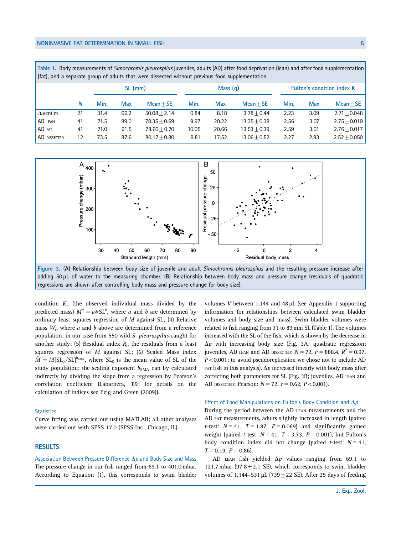Table 1. Body measurements of Simochromis pleurospilus juveniles, adults (AD) after food deprivation (lean) and after food supplementation (fat), and a separate group of adults that were dissected without previous food supplementation.

|                     |    | $SL$ (mm) |            | Mass $(q)$     |       |            | Fulton's condition index K |      |            |                |
|---------------------|----|-----------|------------|----------------|-------|------------|----------------------------|------|------------|----------------|
|                     | N  | Min.      | <b>Max</b> | $Mean + SE$    | Min.  | <b>Max</b> | $Mean + SE$                | Min. | <b>Max</b> | $Mean + SE$    |
| Juveniles           | 21 | 31.4      | 66.2       | $50.08 + 2.14$ | 0.84  | 8.18       | $3.78 + 0.44$              | 2.23 | 3.09       | $2.71 + 0.048$ |
| <b>AD LEAN</b>      | 41 | 71.5      | 89.0       | $78.35 + 0.69$ | 9.97  | 20.22      | $13.35 + 0.38$             | 2.56 | 3.07       | $2.75 + 0.019$ |
| <b>AD</b> FAT       | 41 | 71.0      | 91.5       | $78.60 + 0.70$ | 10.05 | 20.66      | $13.53 + 0.39$             | 2.59 | 3.01       | $2.76 + 0.017$ |
| <b>AD</b> dissected | 12 | 73.5      | 87.6       | $80.17 + 0.80$ | 9.81  | 17.52      | $13.06 + 0.52$             | 2.27 | 2.93       | $2.52 + 0.050$ |



regressions are shown after controlling body mass and pressure change for body size).

condition  $K_n$  (the observed individual mass divided by the predicted mass)  $M^* = a * SL^b$ , where a and b are determined by ordinary least squares regression of M against SL; (4) Relative mass  $W<sub>p</sub>$  where a and b above are determined from a reference population; in our case from 550 wild S. pleurospilus caught for another study; (5) Residual index  $R_i$ , the residuals from a least squares regression of M against SL; (6) Scaled Mass index  $\hat{M} = M[\mathrm{SL}_0/\mathrm{SL}]^{b_{\mathrm{SMA}}}$ , where  $\mathrm{SL}_0$  is the mean value of SL of the study population; the scaling exponent  $b_{SMA}$  can by calculated indirectly by dividing the slope from a regression by Pearson's correlation coefficient (Labarbera, '89; for details on the calculation of indices see Peig and Green (2009)).

#### **Statistics**

Curve fitting was carried out using MATLAB; all other analyses were carried out with SPSS 17.0 (SPSS Inc., Chicago, IL).

# **RESULTS**

Association Between Pressure Difference  $\Delta p$  and Body Size and Mass The pressure change in our fish ranged from 69.1 to 401.0 mbar. According to Equation (1), this corresponds to swim bladder

volumes V between 1,144 and 48  $\mu$ L (see Appendix 1 supporting information for relationships between calculated swim bladder volumes and body size and mass). Swim bladder volumes were related to fish ranging from 31 to 89 mm SL (Table 1). The volumes increased with the SL of the fish, which is shown by the decrease in  $\Delta p$  with increasing body size (Fig. 3A; quadratic regression; juveniles, AD LEAN and AD DISSECTED:  $N = 72$ ,  $F = 888.4$ ,  $R^2 = 0.97$ ,  $P<0.001$ ; to avoid pseudoreplication we chose not to include AD FAT fish in this analysis).  $\Delta p$  increased linearly with body mass after correcting both parameters for SL (Fig. 3B; juveniles, AD LEAN and AD DISSECTED; Pearson:  $N = 72$ ,  $r = 0.62$ ,  $P < 0.001$ ).

#### Effect of Food Manipulations on Fulton's Body Condition and  $\Delta p$

During the period between the AD LEAN measurements and the AD FAT measurements, adults slightly increased in length (paired t-test:  $N = 41$ ,  $T = 1.87$ ,  $P = 0.069$ ) and significantly gained weight (paired t-test:  $N = 41$ ,  $T = 3.73$ ,  $P = 0.001$ ), but Fulton's body condition index did not change (paired *t*-test:  $N = 41$ ,  $T = 0.19$ ,  $P = 0.86$ ).

AD LEAN fish yielded  $\Delta p$  values ranging from 69.1 to 121.7 mbar (97.8  $\pm$  2.1 SE), which corresponds to swim bladder volumes of 1,144-531 µL (739 $\pm$ 22 SE). After 25 days of feeding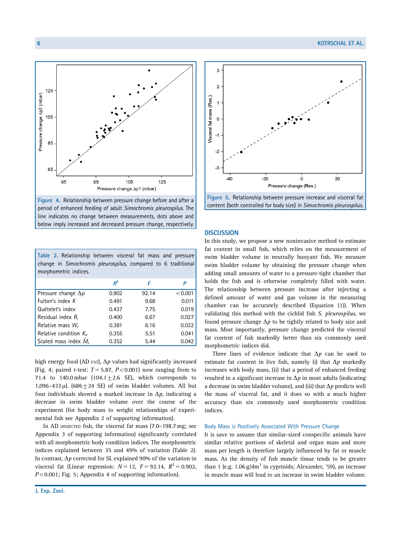

period of enhanced feeding of adult Simochromis pleurospilus. The line indicates no change between measurements, dots above and below imply increased and decreased pressure change, respectively.

Table 2. Relationship between visceral fat mass and pressure change in Simochromis pleurospilus, compared to 6 traditional morphometric indices.

|                            | $R^2$ |       | Р       |
|----------------------------|-------|-------|---------|
| Pressure change $\Delta p$ | 0.902 | 92.14 | < 0.001 |
| Fulton's index K           | 0.491 | 9.68  | 0.011   |
| Quételet's index           | 0.437 | 7.75  | 0.019   |
| Residual index $R_i$       | 0.400 | 6.67  | 0.027   |
| Relative mass $W_r$        | 0.381 | 6.16  | 0.032   |
| Relative condition $K_n$   | 0.355 | 5.51  | 0.041   |
| Scaled mass index $M_i$    | 0.352 | 5.44  | 0.042   |

high energy food (AD FAT),  $\Delta p$  values had significantly increased (Fig. 4; paired *t*-test:  $T = 5.87$ ,  $P < 0.001$ ) now ranging from to 71.4 to 140.0 mbar (104.1 $\pm$ 2.6 SE), which corresponds to 1,096-433 µL (686 $\pm$ 24 SE) of swim bladder volumes. All but four individuals showed a marked increase in  $\Delta p$ , indicating a decrease in swim bladder volume over the course of the experiment (for body mass to weight relationships of experimental fish see Appendix 2 of supporting information).

In AD DISSECTED fish, the visceral fat mass (7.0–198.7 mg; see Appendix 3 of supporting information) significantly correlated with all morphometric body condition indices. The morphometric indices explained between 35 and 49% of variation (Table 2). In contrast,  $\Delta p$  corrected for SL explained 90% of the variation in visceral fat (Linear regression:  $N = 12$ ,  $F = 92.14$ ,  $R^2 = 0.902$ ,  $P<0.001$ ; Fig. 5; Appendix 4 of supporting information).



# **DISCUSSION**

In this study, we propose a new noninvasive method to estimate fat content in small fish, which relies on the measurement of swim bladder volume in neutrally buoyant fish. We measure swim bladder volume by obtaining the pressure change when adding small amounts of water to a pressure-tight chamber that holds the fish and is otherwise completely filled with water. The relationship between pressure increase after injecting a defined amount of water and gas volume in the measuring chamber can be accurately described (Equation (1)). When validating this method with the cichlid fish S. pleurospilus, we found pressure change  $\Delta p$  to be tightly related to body size and mass. Most importantly, pressure change predicted the visceral fat content of fish markedly better than six commonly used morphometric indices did.

Three lines of evidence indicate that  $\Delta p$  can be used to estimate fat content in live fish, namely (i) that  $\Delta p$  markedly increases with body mass, (ii) that a period of enhanced feeding resulted in a significant increase in  $\Delta p$  in most adults (indicating a decrease in swim bladder volume), and (iii) that  $\Delta p$  predicts well the mass of visceral fat, and it does so with a much higher accuracy than six commonly used morphometric condition indices.

#### Body Mass is Positively Associated With Pressure Change

It is save to assume that similar-sized conspecific animals have similar relative portions of skeletal and organ mass and more mass per length is therefore largely influenced by fat or muscle mass. As the density of fish muscle tissue tends to be greater than 1 (e.g.  $1.06$  g/dm<sup>3</sup> in cyprinids; Alexander, '59), an increase in muscle mass will lead to an increase in swim bladder volume.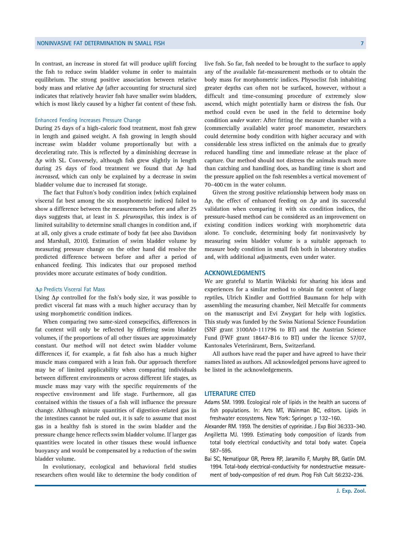In contrast, an increase in stored fat will produce uplift forcing the fish to reduce swim bladder volume in order to maintain equilibrium. The strong positive association between relative body mass and relative  $\Delta p$  (after accounting for structural size) indicates that relatively heavier fish have smaller swim bladders, which is most likely caused by a higher fat content of these fish.

# Enhanced Feeding Increases Pressure Change

During 25 days of a high-caloric food treatment, most fish grew in length and gained weight. A fish growing in length should increase swim bladder volume proportionally but with a decelerating rate. This is reflected by a diminishing decrease in  $\Delta p$  with SL. Conversely, although fish grew slightly in length during 25 days of food treatment we found that  $\Delta p$  had increased, which can only be explained by a decrease in swim bladder volume due to increased fat storage.

The fact that Fulton's body condition index (which explained visceral fat best among the six morphometric indices) failed to show a difference between the measurements before and after 25 days suggests that, at least in S. *pleurospilus*, this index is of limited suitability to determine small changes in condition and, if at all, only gives a crude estimate of body fat (see also Davidson and Marshall, 2010). Estimation of swim bladder volume by measuring pressure change on the other hand did resolve the predicted difference between before and after a period of enhanced feeding. This indicates that our proposed method provides more accurate estimates of body condition.

#### $\Delta p$  Predicts Visceral Fat Mass

Using  $\Delta p$  controlled for the fish's body size, it was possible to predict visceral fat mass with a much higher accuracy than by using morphometric condition indices.

When comparing two same-sized consepcifics, differences in fat content will only be reflected by differing swim bladder volumes, if the proportions of all other tissues are approximately constant. Our method will not detect swim bladder volume differences if, for example, a fat fish also has a much higher muscle mass compared with a lean fish. Our approach therefore may be of limited applicability when comparing individuals between different environments or across different life stages, as muscle mass may vary with the specific requirements of the respective environment and life stage. Furthermore, all gas contained within the tissues of a fish will influence the pressure change. Although minute quantities of digestion-related gas in the intestines cannot be ruled out, it is safe to assume that most gas in a healthy fish is stored in the swim bladder and the pressure change hence reflects swim bladder volume. If larger gas quantities were located in other tissues these would influence buoyancy and would be compensated by a reduction of the swim bladder volume.

In evolutionary, ecological and behavioral field studies researchers often would like to determine the body condition of live fish. So far, fish needed to be brought to the surface to apply any of the available fat-measurement methods or to obtain the body mass for morphometric indices. Physoclist fish inhabiting greater depths can often not be surfaced, however, without a difficult and time-consuming procedure of extremely slow ascend, which might potentially harm or distress the fish. Our method could even be used in the field to determine body condition under water: After fitting the measure chamber with a (commercially available) water proof manometer, researchers could determine body condition with higher accuracy and with considerable less stress inflicted on the animals due to greatly reduced handling time and immediate release at the place of capture. Our method should not distress the animals much more than catching and handling does, as handling time is short and the pressure applied on the fish resembles a vertical movement of 70–400 cm in the water column.

Given the strong positive relationship between body mass on  $\Delta p$ , the effect of enhanced feeding on  $\Delta p$  and its successful validation when comparing it with six condition indices, the pressure-based method can be considered as an improvement on existing condition indices working with morphometric data alone. To conclude, determining body fat noninvasively by measuring swim bladder volume is a suitable approach to measure body condition in small fish both in laboratory studies and, with additional adjustments, even under water.

# ACKNOWLEDGMENTS

We are grateful to Martin Wikelski for sharing his ideas and experiences for a similar method to obtain fat content of large reptiles, Ulrich Kindler and Gottfried Baumann for help with assembling the measuring chamber, Neil Metcalfe for comments on the manuscript and Evi Zwygart for help with logistics. This study was funded by the Swiss National Science Foundation (SNF grant 3100A0-111796 to BT) and the Austrian Science Fund (FWF grant 18647-B16 to BT) under the licence 57/07, Kantonales Veterinäramt, Bern, Switzerland.

All authors have read the paper and have agreed to have their names listed as authors. All acknowledged persons have agreed to be listed in the acknowledgements.

### LITERATURE CITED

Adams SM. 1999. Ecological role of lipids in the health an success of fish populations. In: Arts MT, Wainman BC, editors. Lipids in freshwater ecosystems. New York: Springer. p 132–160.

Alexander RM. 1959. The densities of cyprinidae. J Exp Biol 36:333–340.

- Angilletta MJ. 1999. Estimating body composition of lizards from total body electrical conductivity and total body water. Copeia 587–595.
- Bai SC, Nematipour GR, Perera RP, Jaramillo F, Murphy BR, Gatlin DM. 1994. Total-body electrical-conductivity for nondestructive measurement of body-composition of red drum. Prog Fish Cult 56:232–236.